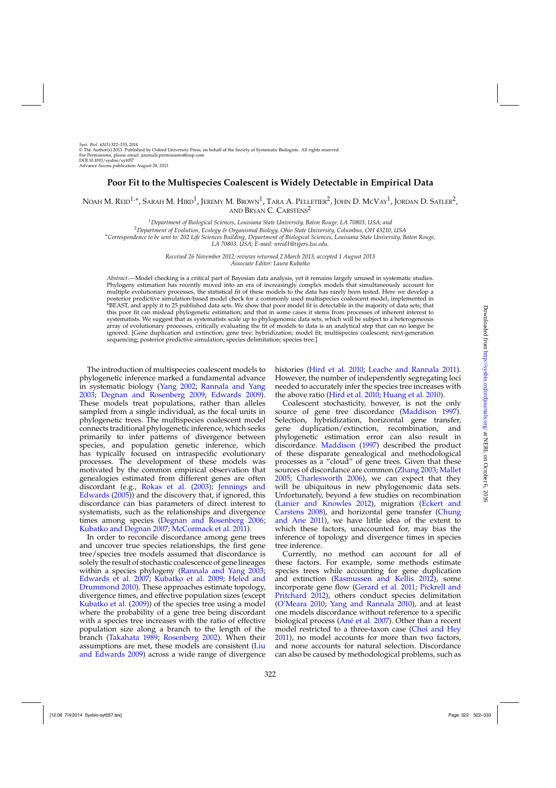# **Poor Fit to the Multispecies Coalescent is Widely Detectable in Empirical Data**

NOAH M. REID<sup>1,∗</sup>, Sarah M. Hird<sup>1</sup>, Jeremy M. Brown<sup>1</sup>, Tara A. Pelletier<sup>2</sup>, John D. McVay<sup>1</sup>, Jordan D. Satler<sup>2</sup>, AND BRYAN C. CARSTENS<sup>2</sup>

<sup>1</sup>*Department of Biological Sciences, Louisiana State University, Baton Rouge, LA 70803, USA; and*

<sup>2</sup>*Department of Evolution, Ecology & Organismal Biology, Ohio State University, Columbus, OH 43210, USA*

∗*Correspondence to be sent to: 202 Life Sciences Building, Department of Biological Sciences, Louisiana State University, Baton Rouge,*

*LA 70803, USA; E-mail: nreid1@tigers.lsu.edu.*

*Received 26 November 2012; reviews returned 2 March 2013; accepted 1 August 2013 Associate Editor: Laura Kubatko*

*Abstract*.—Model checking is a critical part of Bayesian data analysis, yet it remains largely unused in systematic studies. Phylogeny estimation has recently moved into an era of increasingly complex models that simultaneously account for multiple evolutionary processes, the statistical fit of these models to the data has rarely been tested. Here we develop a posterior predictive simulation-based model check for a commonly used multispecies coalescent model, implemented in \*BEAST, and apply it to 25 published data sets. We show that poor model fit is detectable in the majority of data sets; that this poor fit can mislead phylogenetic estimation; and that in some cases it stems from processes of inherent interest to systematists. We suggest that as systematists scale up to phylogenomic data sets, which will be subject to a heterogeneous array of evolutionary processes, critically evaluating the fit of models to data is an analytical step that can no longer be ignored. [Gene duplication and extinction; gene tree; hybridization; model fit; multispecies coalescent; next-generation sequencing; posterior predictive simulation; species delimitation; species tree.]

The introduction of multispecies coalescent models to phylogenetic inference marked a fundamental advance in systematic biology [\(Yang 2002;](#page-11-0) [Rannala and Yang](#page-11-0) [2003](#page-11-0); [Degnan and Rosenberg 2009;](#page-10-0) [Edwards 2009](#page-10-0)). These models treat populations, rather than alleles sampled from a single individual, as the focal units in phylogenetic trees. The multispecies coalescent model connects traditional phylogenetic inference, which seeks primarily to infer patterns of divergence between species, and population genetic inference, which has typically focused on intraspecific evolutionary processes. The development of these models was motivated by the common empirical observation that genealogies estimated from different genes are often discordant (e.g., [Rokas et al.](#page-11-0) [\(2003](#page-11-0)); Jennings and Edwards [\(2005\)](#page-10-0)) and the discovery that, if ignored, this discordance can bias parameters of direct interest to systematists, such as the relationships and divergence times among species [\(Degnan and Rosenberg 2006;](#page-10-0) [Kubatko and Degnan 2007](#page-10-0); [McCormack et al. 2011](#page-10-0)).

In order to reconcile discordance among gene trees and uncover true species relationships, the first gene tree/species tree models assumed that discordance is solely the result of stochastic coalescence of gene lineages within a species phylogeny [\(Rannala and Yang 2003;](#page-11-0) [Edwards et al. 2007;](#page-10-0) [Kubatko et al. 2009;](#page-10-0) Heled and Drummond [2010\)](#page-10-0). These approaches estimate topology, divergence times, and effective population sizes (except [Kubatko et al.](#page-10-0) [\(2009](#page-10-0))) of the species tree using a model where the probability of a gene tree being discordant with a species tree increases with the ratio of effective population size along a branch to the length of the branch [\(Takahata 1989](#page-11-0); [Rosenberg 2002\)](#page-11-0). When their assumptions [are met, these models are consistent \(](#page-10-0)Liu and Edwards [2009\)](#page-10-0) across a wide range of divergence

histories [\(Hird et al. 2010;](#page-10-0) [Leache and Rannala 2011\)](#page-10-0). However, the number of independently segregating loci needed to accurately infer the species tree increases with the above ratio [\(Hird et al. 2010](#page-10-0); [Huang et al. 2010\)](#page-10-0).

Coalescent stochasticity, however, is not the only source of gene tree discordance [\(Maddison 1997\)](#page-10-0). Selection, hybridization, horizontal gene transfer, gene duplication/extinction, recombination, and phylogenetic estimation error can also result in discordance. [Maddison](#page-10-0) [\(1997\)](#page-10-0) described the product of these disparate genealogical and methodological processes as a "cloud" of gene trees. Given that these sources of discordance are common [\(Zhang 2003;](#page-11-0) [Mallet](#page-10-0) [2005;](#page-10-0) [Charlesworth 2006](#page-10-0)), we can expect that they will be ubiquitous in new phylogenomic data sets. Unfortunately, beyond a few studies on recombination [\(Lanier and Knowles 2012\), migration \(](#page-10-0)Eckert and Carstens [2008\), and horizontal gene transfer \(](#page-10-0)Chung and Ane [2011\)](#page-10-0), we have little idea of the extent to which these factors, unaccounted for, may bias the inference of topology and divergence times in species tree inference.

Currently, no method can account for all of these factors. For example, some methods estimate species trees while accounting for gene duplication and extinction [\(Rasmussen and Kellis 2012\)](#page-11-0), some incorpor[ate gene flow](#page-11-0) [\(Gerard et al. 2011;](#page-10-0) Pickrell and Pritchard [2012](#page-11-0)), others conduct species delimitation [\(O'Meara 2010;](#page-11-0) [Yang and Rannala 2010](#page-11-0)), and at least one models discordance without reference to a specific biological process [\(Ané et al. 2007](#page-9-0)). Other than a recent model restricted to a three-taxon case [\(Choi and Hey](#page-10-0) [2011\)](#page-10-0), no model accounts for more than two factors, and none accounts for natural selection. Discordance can also be caused by methodological problems, such as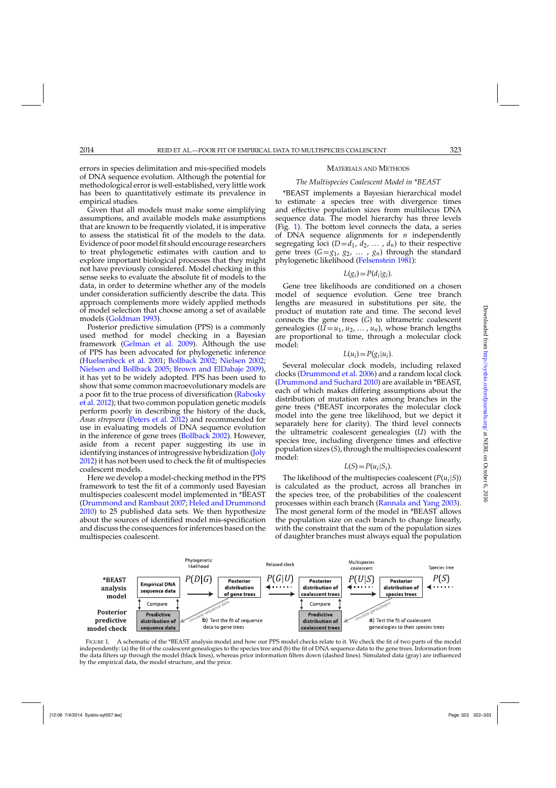<span id="page-1-0"></span>errors in species delimitation and mis-specified models of DNA sequence evolution. Although the potential for methodological error is well-established, very little work has been to quantitatively estimate its prevalence in empirical studies.

Given that all models must make some simplifying assumptions, and available models make assumptions that are known to be frequently violated, it is imperative to assess the statistical fit of the models to the data. Evidence of poor model fit should encourage researchers to treat phylogenetic estimates with caution and to explore important biological processes that they might not have previously considered. Model checking in this sense seeks to evaluate the absolute fit of models to the data, in order to determine whether any of the models under consideration sufficiently describe the data. This approach complements more widely applied methods of model selection that choose among a set of available models [\(Goldman 1993](#page-10-0)).

Posterior predictive simulation (PPS) is a commonly used method for model checking in a Bayesian framework [\(Gelman et al. 2009](#page-10-0)). Although the use of PPS has been advocated for phylogenetic inference [\(Huelsenbeck et al. 2001](#page-10-0); [Bollback 2002](#page-10-0); [Nielsen 2002](#page-11-0); [Nielsen and Bollback 2005;](#page-11-0) [Brown and ElDabaje 2009\)](#page-10-0), it has yet to be widely adopted. PPS has been used to show that some common macroevolutionary models are a po[or fit to the true process of diversification \(](#page-11-0)Rabosky et al. [2012](#page-11-0)); that two common population genetic models perform poorly in describing the history of the duck, *Anas strepsera* [\(Peters et al. 2012](#page-11-0)) and recommended for use in evaluating models of DNA sequence evolution in the inference of gene trees [\(Bollback 2002](#page-10-0)). However, aside from a recent paper suggesting its use in identifying instances of introgressive hybridization [\(Joly](#page-10-0) [2012\)](#page-10-0) it has not been used to check the fit of multispecies coalescent models.

Here we develop a model-checking method in the PPS framework to test the fit of a commonly used Bayesian multispecies coalescent model implemented in \*BEAST [\(Drummond and Rambaut 2007;](#page-10-0) [Heled and Drummond](#page-10-0) [2010\)](#page-10-0) to 25 published data sets. We then hypothesize about the sources of identified model mis-specification and discuss the consequences for inferences based on the multispecies coalescent.

#### MATERIALS AND METHODS

### *The Multispecies Coalescent Model in \*BEAST*

\*BEAST implements a Bayesian hierarchical model to estimate a species tree with divergence times and effective population sizes from multilocus DNA sequence data. The model hierarchy has three levels (Fig. 1). The bottom level connects the data, a series of DNA sequence alignments for *n* independently segregating loci ( $D=d_1, d_2, \ldots, d_n$ ) to their respective gene trees  $(G = g_1, g_2, \ldots, g_n)$  through the standard phylogenetic likelihood [\(Felsenstein 1981](#page-10-0)):

$$
L(g_i) = P(d_i|g_i).
$$

Gene tree likelihoods are conditioned on a chosen model of sequence evolution. Gene tree branch lengths are measured in substitutions per site, the product of mutation rate and time. The second level connects the gene trees (*G*) to ultrametric coalescent genealogies  $(U = u_1, u_2, \ldots, u_n)$ , whose branch lengths are proportional to time, through a molecular clock model:

# $L(u_i) = P(g_i|u_i).$

Several molecular clock models, including relaxed clocks [\(Drummond et al. 2006\)](#page-10-0) and a random local clock [\(Drummond and Suchard 2010\)](#page-10-0) are available in \*BEAST, each of which makes differing assumptions about the distribution of mutation rates among branches in the gene trees (\*BEAST incorporates the molecular clock model into the gene tree likelihood, but we depict it separately here for clarity). The third level connects the ultrametric coalescent genealogies (*U*) with the species tree, including divergence times and effective population sizes (*S*), through the multispecies coalescent model:

## $L(S) = P(u_i|S_i)$ .

The likelihood of the multispecies coalescent  $(P(u_i|S))$ is calculated as the product, across all branches in the species tree, of the probabilities of the coalescent processes within each branch [\(Rannala and Yang 2003](#page-11-0)). The most general form of the model in \*BEAST allows the population size on each branch to change linearly, with the constraint that the sum of the population sizes of daughter branches must always equal the population



FIGURE 1. A schematic of the \*BEAST analysis model and how our PPS model checks relate to it. We check the fit of two parts of the model independently: (a) the fit of the coalescent genealogies to the species tree and (b) the fit of DNA sequence data to the gene trees. Information from the data filters up through the model (black lines), whereas prior information filters down (dashed lines). Simulated data (gray) are influenced by the empirical data, the model structure, and the prior.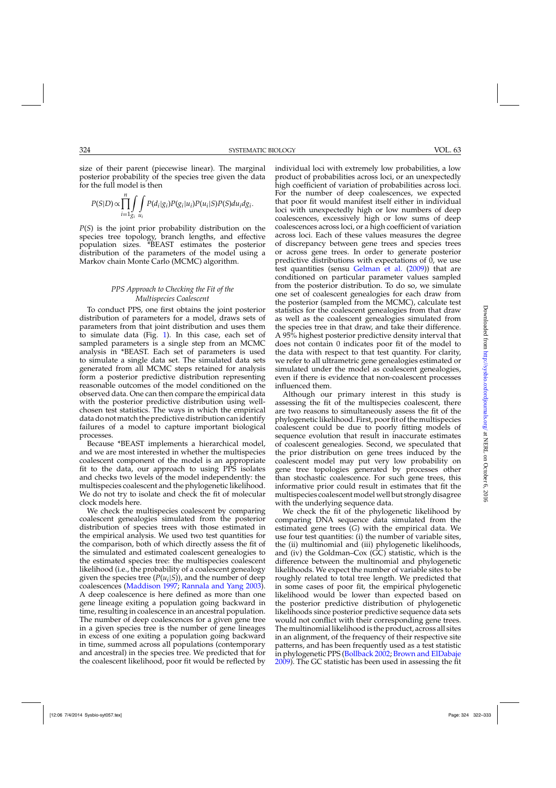size of their parent (piecewise linear). The marginal posterior probability of the species tree given the data for the full model is then

$$
P(S|D) \propto \prod_{i=1}^{n} \int_{g_i} \int_{u_i} P(d_i|g_i) P(g_i|u_i) P(u_i|S) P(S) du_i dg_i.
$$

*P*(*S*) is the joint prior probability distribution on the species tree topology, branch lengths, and effective population sizes. \*BEAST estimates the posterior distribution of the parameters of the model using a Markov chain Monte Carlo (MCMC) algorithm.

# *PPS Approach to Checking the Fit of the Multispecies Coalescent*

To conduct PPS, one first obtains the joint posterior distribution of parameters for a model, draws sets of parameters from that joint distribution and uses them to simulate data (Fig. [1\)](#page-1-0). In this case, each set of sampled parameters is a single step from an MCMC analysis in \*BEAST. Each set of parameters is used to simulate a single data set. The simulated data sets generated from all MCMC steps retained for analysis form a posterior predictive distribution representing reasonable outcomes of the model conditioned on the observed data. One can then compare the empirical data with the posterior predictive distribution using wellchosen test statistics. The ways in which the empirical data do notmatch the predictive distribution canidentify failures of a model to capture important biological processes.

Because \*BEAST implements a hierarchical model, and we are most interested in whether the multispecies coalescent component of the model is an appropriate fit to the data, our approach to using PPS isolates and checks two levels of the model independently: the multispecies coalescent and the phylogenetic likelihood. We do not try to isolate and check the fit of molecular clock models here.

We check the multispecies coalescent by comparing coalescent genealogies simulated from the posterior distribution of species trees with those estimated in the empirical analysis. We used two test quantities for the comparison, both of which directly assess the fit of the simulated and estimated coalescent genealogies to the estimated species tree: the multispecies coalescent likelihood (i.e., the probability of a coalescent genealogy given the species tree  $(P(u_i|S))$ , and the number of deep coalescences [\(Maddison 1997](#page-10-0); [Rannala and Yang 2003](#page-11-0)). A deep coalescence is here defined as more than one gene lineage exiting a population going backward in time, resulting in coalescence in an ancestral population. The number of deep coalescences for a given gene tree in a given species tree is the number of gene lineages in excess of one exiting a population going backward in time, summed across all populations (contemporary and ancestral) in the species tree. We predicted that for the coalescent likelihood, poor fit would be reflected by

individual loci with extremely low probabilities, a low product of probabilities across loci, or an unexpectedly high coefficient of variation of probabilities across loci. For the number of deep coalescences, we expected that poor fit would manifest itself either in individual loci with unexpectedly high or low numbers of deep coalescences, excessively high or low sums of deep coalescences across loci, or a high coefficient of variation across loci. Each of these values measures the degree of discrepancy between gene trees and species trees or across gene trees. In order to generate posterior predictive distributions with expectations of 0, we use test quantities (sensu [Gelman et al.](#page-10-0) [\(2009](#page-10-0))) that are conditioned on particular parameter values sampled from the posterior distribution. To do so, we simulate one set of coalescent genealogies for each draw from the posterior (sampled from the MCMC), calculate test statistics for the coalescent genealogies from that draw as well as the coalescent genealogies simulated from the species tree in that draw, and take their difference. A 95% highest posterior predictive density interval that does not contain 0 indicates poor fit of the model to the data with respect to that test quantity. For clarity, we refer to all ultrametric gene genealogies estimated or simulated under the model as coalescent genealogies, even if there is evidence that non-coalescent processes influenced them.

Although our primary interest in this study is assessing the fit of the multispecies coalescent, there are two reasons to simultaneously assess the fit of the phylogenetic likelihood. First, poor fit of the multispecies coalescent could be due to poorly fitting models of sequence evolution that result in inaccurate estimates of coalescent genealogies. Second, we speculated that the prior distribution on gene trees induced by the coalescent model may put very low probability on gene tree topologies generated by processes other than stochastic coalescence. For such gene trees, this informative prior could result in estimates that fit the multispecies coalescent model well but strongly disagree with the underlying sequence data.

We check the fit of the phylogenetic likelihood by comparing DNA sequence data simulated from the estimated gene trees (*G*) with the empirical data. We use four test quantities: (i) the number of variable sites, the (ii) multinomial and (iii) phylogenetic likelihoods, and (iv) the Goldman–Cox (GC) statistic, which is the difference between the multinomial and phylogenetic likelihoods. We expect the number of variable sites to be roughly related to total tree length. We predicted that in some cases of poor fit, the empirical phylogenetic likelihood would be lower than expected based on the posterior predictive distribution of phylogenetic likelihoods since posterior predictive sequence data sets would not conflict with their corresponding gene trees. The multinomial likelihood is the product, across all sites in an alignment, of the frequency of their respective site patterns, and has been frequently used as a test statistic in phylogenetic PPS [\(Bollback 2002](#page-10-0); [Brown and ElDabaje](#page-10-0) [2009\)](#page-10-0). The GC statistic has been used in assessing the fit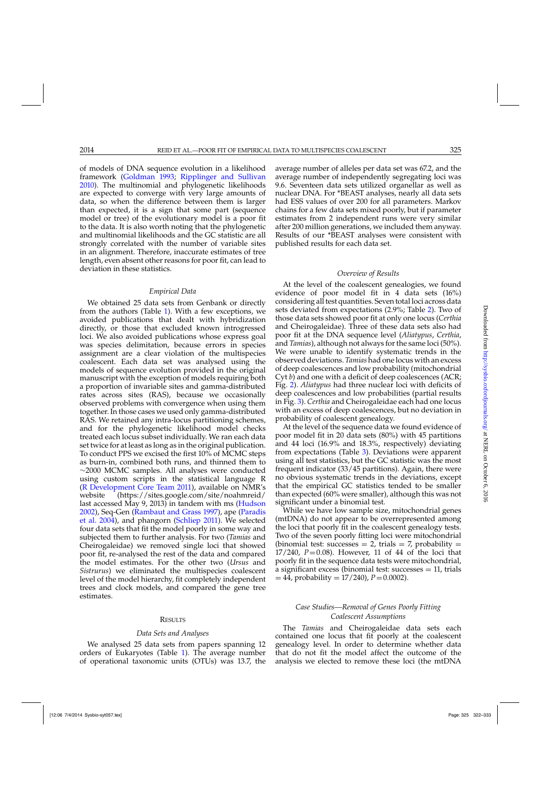of models of DNA sequence evolution in a likelihood framework [\(Goldman 1993;](#page-10-0) [Ripplinger and Sullivan](#page-11-0) [2010\)](#page-11-0). The multinomial and phylogenetic likelihoods are expected to converge with very large amounts of data, so when the difference between them is larger than expected, it is a sign that some part (sequence model or tree) of the evolutionary model is a poor fit to the data. It is also worth noting that the phylogenetic and multinomial likelihoods and the GC statistic are all strongly correlated with the number of variable sites in an alignment. Therefore, inaccurate estimates of tree

# *Empirical Data*

length, even absent other reasons for poor fit, can lead to

deviation in these statistics.

We obtained 25 data sets from Genbank or directly from the authors (Table [1\)](#page-4-0). With a few exceptions, we avoided publications that dealt with hybridization directly, or those that excluded known introgressed loci. We also avoided publications whose express goal was species delimitation, because errors in species assignment are a clear violation of the multispecies coalescent. Each data set was analysed using the models of sequence evolution provided in the original manuscript with the exception of models requiring both a proportion of invariable sites and gamma-distributed rates across sites (RAS), because we occasionally observed problems with convergence when using them together. In those cases we used only gamma-distributed RAS. We retained any intra-locus partitioning schemes, and for the phylogenetic likelihood model checks treated each locus subset individually. We ran each data set twice for at least as long as in the original publication. To conduct PPS we excised the first 10% of MCMC steps as burn-in, combined both runs, and thinned them to ∼2000 MCMC samples. All analyses were conducted using custom scripts in the statistical language R [\(R Development Core Team 2011](#page-11-0)), available on NMR's website (https://sites.google.com/site/noahmreid/ last accessed May 9, 2013) in tandem with ms [\(Hudson](#page-10-0) [2002\)](#page-10-0)[,](#page-11-0) [Seq-Gen](#page-11-0) [\(Rambaut and Grass 1997\),](#page-11-0) [ape](#page-11-0) [\(](#page-11-0)Paradis et al. [2004\)](#page-11-0), and phangorn [\(Schliep 2011](#page-11-0)). We selected four data sets that fit the model poorly in some way and subjected them to further analysis. For two (*Tamias* and Cheirogaleidae) we removed single loci that showed poor fit, re-analysed the rest of the data and compared the model estimates. For the other two (*Ursus* and *Sistrurus*) we eliminated the multispecies coalescent level of the model hierarchy, fit completely independent trees and clock models, and compared the gene tree estimates.

#### **RESULTS**

#### *Data Sets and Analyses*

We analysed 25 data sets from papers spanning 12 orders of Eukaryotes (Table [1\)](#page-4-0). The average number of operational taxonomic units (OTUs) was 13.7, the average number of alleles per data set was 67.2, and the average number of independently segregating loci was 9.6. Seventeen data sets utilized organellar as well as nuclear DNA. For \*BEAST analyses, nearly all data sets had ESS values of over 200 for all parameters. Markov chains for a few data sets mixed poorly, but if parameter estimates from 2 independent runs were very similar after 200 million generations, we included them anyway. Results of our \*BEAST analyses were consistent with published results for each data set.

## *Overview of Results*

At the level of the coalescent genealogies, we found evidence of poor model fit in 4 data sets (16%) considering all test quantities. Seven total loci across data sets deviated from expectations (2.9%; Table [2\)](#page-5-0). Two of those data sets showed poor fit at only one locus (*Certhia* and Cheirogaleidae). Three of these data sets also had poor fit at the DNA sequence level (*Aliatypus*, *Certhia*, and *Tamias*), although not always for the same loci (50%). We were unable to identify systematic trends in the observed deviations. *Tamias* had one locus with an excess of deep coalescences and low probability (mitochondrial Cyt *b*) and one with a deficit of deep coalescences (ACR; Fig. [2\)](#page-5-0). *Aliatypus* had three nuclear loci with deficits of deep coalescences and low probabilities (partial results in Fig. [3\)](#page-6-0). *Certhia* and Cheirogaleidae each had one locus with an excess of deep coalescences, but no deviation in probability of coalescent genealogy.

At the level of the sequence data we found evidence of poor model fit in 20 data sets (80%) with 45 partitions and 44 loci (16.9% and 18.3%, respectively) deviating from expectations (Table [3\)](#page-7-0). Deviations were apparent using all test statistics, but the GC statistic was the most frequent indicator (33/45 partitions). Again, there were no obvious systematic trends in the deviations, except that the empirical GC statistics tended to be smaller than expected (60% were smaller), although this was not significant under a binomial test.

While we have low sample size, mitochondrial genes (mtDNA) do not appear to be overrepresented among the loci that poorly fit in the coalescent genealogy tests. Two of the seven poorly fitting loci were mitochondrial (binomial test: successes  $= 2$ , trials  $= 7$ , probability  $=$  $17/240$ ,  $P=0.08$ ). However, 11 of 44 of the loci that poorly fit in the sequence data tests were mitochondrial, a significant excess (binomial test: successes  $= 11$ , trials  $= 44$ , probability  $= 17/240$ ,  $P = 0.0002$ ).

# *Case Studies—Removal of Genes Poorly Fitting Coalescent Assumptions*

The *Tamias* and Cheirogaleidae data sets each contained one locus that fit poorly at the coalescent genealogy level. In order to determine whether data that do not fit the model affect the outcome of the analysis we elected to remove these loci (the mtDNA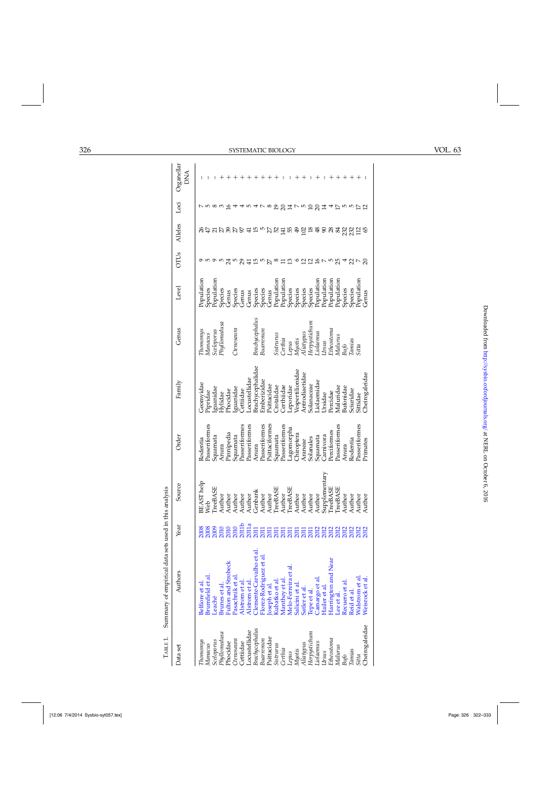Downloaded from <http://sysbio.oxfordjournals.org/> at NERL on October 6, 2016

Downloaded from http://sysbio.oxfordjournals.org/ at NERL on October 6, 2016

<span id="page-4-0"></span>

| TABLE 1.       | Summary of empirical data sets used in this analysis |                     |                                     |                   |                       |                           |                               |               |                     |            |                   |
|----------------|------------------------------------------------------|---------------------|-------------------------------------|-------------------|-----------------------|---------------------------|-------------------------------|---------------|---------------------|------------|-------------------|
| Data set       | Authors                                              | Year                | Source                              | Order             | Family                | Genus                     | Level                         | <b>OTUs</b>   | Alleles             | Loci       | Organellar<br>DNA |
| homomys        | Belfiore et al                                       |                     | ST <sub>help</sub><br>BEA           | Rodentia          | Geomvidae             | Thomomys                  | Population                    |               |                     |            |                   |
| Manacus        | Brumfield et al                                      | 2008                | Уeр                                 | Passeriformes     | Pipridae              | Manacus                   | Species                       |               |                     |            |                   |
| Sceloporus     | Leaché                                               | 2009                | <b>TeeBASE</b>                      | Squamata          | Iguanidae             | Sceloporus                | Population                    |               |                     |            |                   |
| Phyllomedusa   | Brunes et al.                                        | 2010                | Author                              | Anura             | Hylidae               | Phyllomedusa              | Species                       | rU            |                     |            |                   |
| Phocidae       | Fulton and Strobeck                                  | 2010                |                                     | <b>Pinnipedia</b> | Phocidae              |                           | Genus                         | ਨ੍ਹ           |                     |            |                   |
| Ctenosaura     | Pasachnik et al                                      | 2010                | Author<br>Author                    | Squamata          | lguanidae             | Ctenosaura                | Species                       |               | <b>ដូង</b> ដូងខ្លួង |            |                   |
| Cettiidae      | Alstrom et al                                        | 2011b               | Author                              | Passeriformes     | <b>Cettiidae</b>      |                           | Genus                         | $\mathcal{S}$ |                     |            |                   |
| Locustellidae  | Alstrom et al.                                       | 2011a               | Author                              | Passeriformes     | Locustellidae         |                           | Genus                         |               |                     |            |                   |
| Brachycephalus | Clemente-Carvalho et al.                             | $\frac{2011}{2011}$ | Genbank                             | Anura             | Brachycephalidae      | <b>Brachycephalus</b>     | Species                       |               |                     |            |                   |
| Buarremon      | Florez-Rodriguez et al                               |                     | Author                              | Passeriformes     | Emberizidae           | Buarremon                 | Species                       |               |                     |            |                   |
| Psittacidae    | oseph et al.                                         | 2011                | Author                              | Psittaciformes    | Psittacidae           |                           | Genus                         | 27            |                     | $^{\circ}$ |                   |
| Sistrurus      | Kubatko et al                                        | 2011                | TreeBASE                            | Squamata          | Crotalidae            | Sistrurus                 | Population                    | $^{\circ}$    | ង ន                 |            |                   |
| Certhia        | Manthey et al                                        | 2011                | Author                              | Passeriformes     | Certhiidae            | Certhia                   | Population                    |               |                     | 224        |                   |
| <b>Lepus</b>   | Melo-Ferreira et al                                  | 2011                | <b>TreeBASE</b>                     | agomorpha         | Leporidae             | Lepus                     | Species                       | ≌             |                     |            |                   |
| Myotis         | Salicini et al.                                      | 2011                | Author                              | <b>Chiroptera</b> | Vespertilionidae      | Myotis                    | Species<br>Species<br>Species | $\circ$       | 포 2 하 중             |            |                   |
| Aliatypus      | Satler et al.                                        | 2011<br>2011        | Author                              | Araneae           | Antrodiaetidae        |                           |                               |               |                     | ro         |                   |
| Herpystichum   | Tepe et al.                                          |                     | Author                              | Solanales         | Solanaceae            | Aliatypus<br>Herpystichum |                               |               |                     | 281        |                   |
| $\_i$ olaenus  | Camargo et al                                        | 2012                |                                     | Squamata          | iolaemidae            | Liolaenus                 | Population                    |               |                     |            |                   |
| <b>Lirsus</b>  | Hailer et al.                                        | 2012                |                                     | Carnivora         | <b>Jrsidae</b>        | Ursus                     | Population                    |               |                     |            |                   |
| Etheostoma     | Harrington and Near                                  | 2012                | Author<br>Supplementary<br>TreeBASE | Perciformes       | Percidae              | Etheostoma                | Population                    | ひあっち          | 23823               |            |                   |
| Malurus        | Lee et al                                            | 2012                | <b>TreeBASE</b>                     | asseriformes      | Maluridae             | Malurus                   | Population                    |               |                     | ⊵          |                   |
| Bufo           | Recuero et al                                        |                     | Author                              | Anura             | Bufonidae             |                           | Species                       | 4             |                     |            |                   |
| Tamias         | Reid et al.                                          | 2012                | Author                              | Rodentia          | Sciuridae             | Bufo<br>Tamias            | Species                       | 2N            | 33258               | 10 L J J   |                   |
| Sitta          | Walstrom et al                                       | 2012                | Author                              | Passeriformes     | Sittidae              | sitta                     | Population                    |               |                     |            |                   |
| Cheirogaleidae | Weisrock et al                                       | 2012                | Author                              | Primates          | <b>Cheirogaleidae</b> |                           | Genus                         |               |                     |            |                   |
|                |                                                      |                     |                                     |                   |                       |                           |                               |               |                     |            |                   |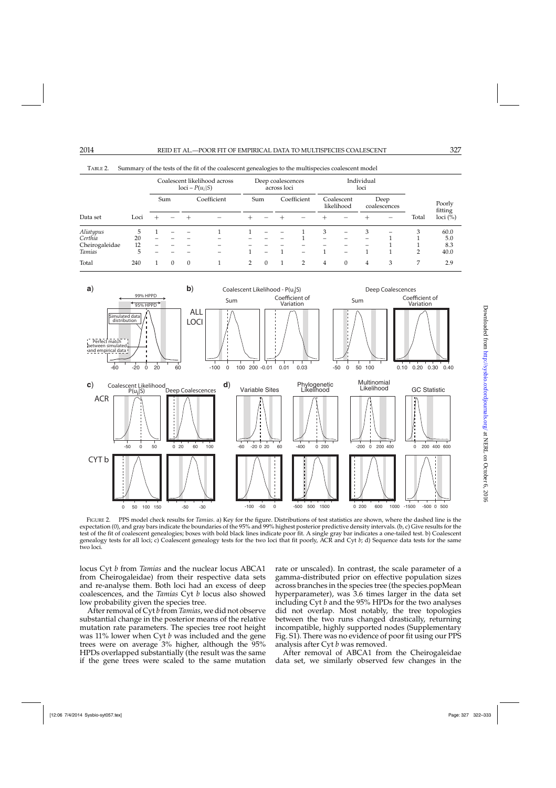| Data set                | Loci | Coalescent likelihood across<br>$loci - P(u_i S)$ |          |             |               |          | Deep coalescences<br>across loci |                |   |                          | Individual<br>loci |                      |       |                   |  |
|-------------------------|------|---------------------------------------------------|----------|-------------|---------------|----------|----------------------------------|----------------|---|--------------------------|--------------------|----------------------|-------|-------------------|--|
|                         |      | Sum                                               |          | Coefficient |               | Sum      |                                  | Coefficient    |   | Coalescent<br>likelihood |                    | Deep<br>coalescences |       | Poorly<br>fitting |  |
|                         |      |                                                   |          |             |               |          |                                  |                |   |                          |                    |                      | Total | loci $(\%)$       |  |
| <i><b>Aliatypus</b></i> |      |                                                   |          |             |               |          |                                  |                | 3 |                          | 3                  |                      |       | 60.0              |  |
| Certhia                 | 20   |                                                   |          |             |               |          |                                  |                | - |                          |                    |                      |       | 5.0               |  |
| Cheirogaleidae          | 12   |                                                   |          |             |               |          |                                  |                |   |                          |                    |                      |       | 8.3               |  |
| Tamias                  | 5    |                                                   |          |             |               |          |                                  |                |   | $\equiv$                 |                    |                      | C     | 40.0              |  |
| Total                   | 240  | $\mathbf{0}$                                      | $\Omega$ |             | $\mathcal{P}$ | $\Omega$ |                                  | $\overline{2}$ | 4 | $\theta$                 | 4                  | 3                    |       | 2.9               |  |

<span id="page-5-0"></span>TABLE 2. Summary of the tests of the fit of the coalescent genealogies to the multispecies coalescent model



FIGURE 2. PPS model check results for *Tamias*. a) Key for the figure. Distributions of test statistics are shown, where the dashed line is the expectation (0), and gray bars indicate the boundaries of the 95% and 99% highest posterior predictive density intervals. (b, c) Give results for the test of the fit of coalescent genealogies; boxes with bold black lines indicate poor fit. A single gray bar indicates a one-tailed test. b) Coalescent genealogy tests for all loci; c) Coalescent genealogy tests for the two loci that fit poorly, ACR and Cyt *b*; d) Sequence data tests for the same two loci.

locus Cyt *b* from *Tamias* and the nuclear locus ABCA1 from Cheirogaleidae) from their respective data sets and re-analyse them. Both loci had an excess of deep coalescences, and the *Tamias* Cyt *b* locus also showed low probability given the species tree.

After removal of Cyt *b* from *Tamias*, we did not observe substantial change in the posterior means of the relative mutation rate parameters. The species tree root height was 11% lower when Cyt *b* was included and the gene trees were on average 3% higher, although the 95% HPDs overlapped substantially (the result was the same if the gene trees were scaled to the same mutation

rate or unscaled). In contrast, the scale parameter of a gamma-distributed prior on effective population sizes across branches in the species tree (the species.popMean hyperparameter), was 3.6 times larger in the data set including Cyt *b* and the 95% HPDs for the two analyses did not overlap. Most notably, the tree topologies between the two runs changed drastically, returning incompatible, highly supported nodes (Supplementary Fig. S1). There was no evidence of poor fit using our PPS analysis after Cyt *b* was removed.

After removal of ABCA1 from the Cheirogaleidae data set, we similarly observed few changes in the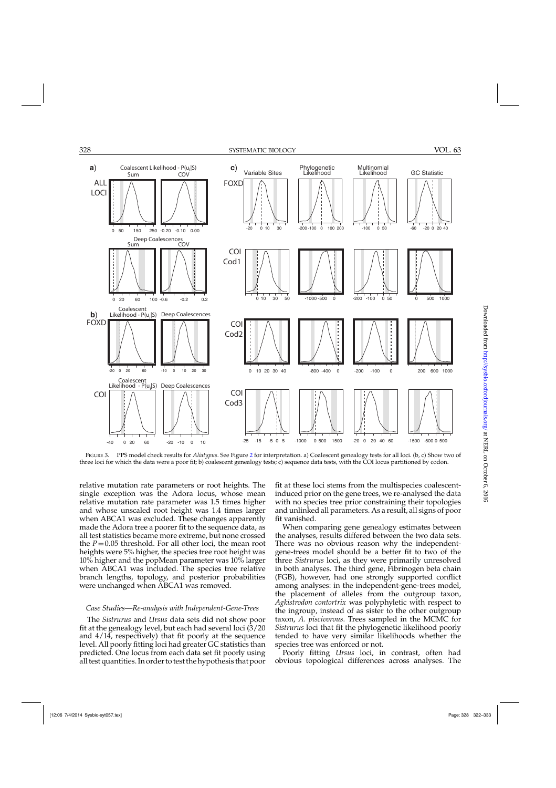<span id="page-6-0"></span>

FIGURE 3. PPS model check results for *Aliatypus*. See Figure [2](#page-5-0) for interpretation. a) Coalescent genealogy tests for all loci. (b, c) Show two of three loci for which the data were a poor fit; b) coalescent genealogy tests; c) sequence data tests, with the COI locus partitioned by codon.

relative mutation rate parameters or root heights. The single exception was the Adora locus, whose mean relative mutation rate parameter was 1.5 times higher and whose unscaled root height was 1.4 times larger when ABCA1 was excluded. These changes apparently made the Adora tree a poorer fit to the sequence data, as all test statistics became more extreme, but none crossed the  $P=0.05$  threshold. For all other loci, the mean root heights were 5% higher, the species tree root height was 10% higher and the popMean parameter was 10% larger when ABCA1 was included. The species tree relative branch lengths, topology, and posterior probabilities were unchanged when ABCA1 was removed.

#### *Case Studies—Re-analysis with Independent-Gene-Trees*

The *Sistrurus* and *Ursus* data sets did not show poor fit at the genealogy level, but each had several loci (3/20 and 4/14, respectively) that fit poorly at the sequence level. All poorly fitting loci had greater GC statistics than predicted. One locus from each data set fit poorly using all test quantities. In order to test the hypothesis that poor

fit at these loci stems from the multispecies coalescentinduced prior on the gene trees, we re-analysed the data with no species tree prior constraining their topologies and unlinked all parameters. As a result, all signs of poor fit vanished.

When comparing gene genealogy estimates between the analyses, results differed between the two data sets. There was no obvious reason why the independentgene-trees model should be a better fit to two of the three *Sistrurus* loci, as they were primarily unresolved in both analyses. The third gene, Fibrinogen beta chain (FGB), however, had one strongly supported conflict among analyses: in the independent-gene-trees model, the placement of alleles from the outgroup taxon, *Agkistrodon contortrix* was polyphyletic with respect to the ingroup, instead of as sister to the other outgroup taxon, *A. piscivorous.* Trees sampled in the MCMC for *Sistrurus* loci that fit the phylogenetic likelihood poorly tended to have very similar likelihoods whether the species tree was enforced or not.

Poorly fitting *Ursus* loci, in contrast, often had obvious topological differences across analyses. The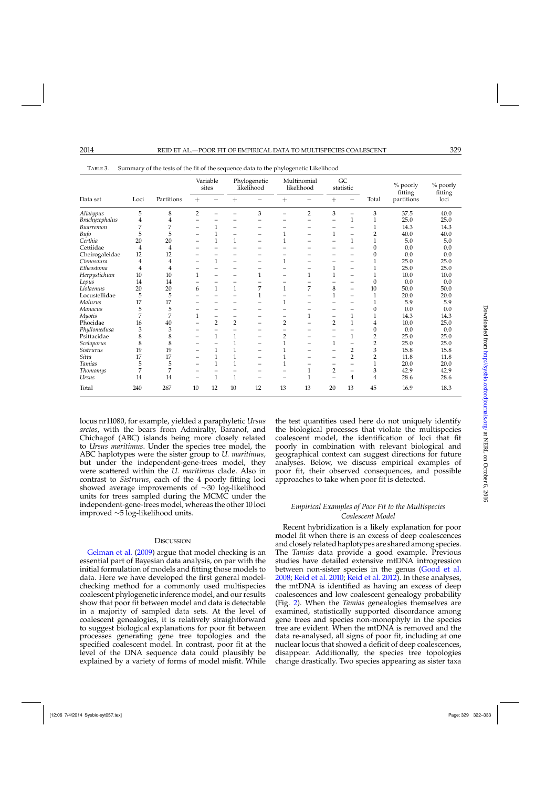|                       | Loci           | Partitions     |                | Variable<br>sites |                                 | Phylogenetic<br>likelihood |                | Multinomial<br>likelihood | $\cal GC$<br>statistic   |                              |                | % poorly<br>fitting | % poorly<br>fitting |
|-----------------------|----------------|----------------|----------------|-------------------|---------------------------------|----------------------------|----------------|---------------------------|--------------------------|------------------------------|----------------|---------------------|---------------------|
| Data set              |                |                | $^{+}$         |                   | $\hspace{.1cm} + \hspace{.1cm}$ |                            | $^{+}$         |                           | $\mathrm{+}$             |                              | Total          | partitions          | loci                |
| Aliatypus             | 5              | 8              | $\overline{2}$ |                   |                                 | 3                          |                | 2                         | 3                        | $\overline{\phantom{0}}$     | 3              | 37.5                | 40.0                |
| <b>Brachycephalus</b> | 4              | $\overline{4}$ |                |                   |                                 |                            |                | -                         | -                        | $\mathbf{1}$                 | $\mathbf{1}$   | 25.0                | 25.0                |
| Buarremon             | 7              |                |                |                   |                                 |                            |                |                           |                          |                              | 1              | 14.3                | 14.3                |
| Bufo                  | 5              | 5              |                |                   |                                 | -                          | 1              | $\qquad \qquad$           | $\mathbf{1}$             | -                            | 2              | 40.0                | 40.0                |
| Certhia               | 20             | 20             |                |                   | $\mathbf{1}$                    |                            |                |                           |                          | $\mathbf{1}$                 |                | 5.0                 | 5.0                 |
| Cettiidae             | $\overline{4}$ | 4              |                |                   |                                 |                            |                |                           |                          |                              | 0              | 0.0                 | 0.0                 |
| Cheirogaleidae        | 12             | 12             |                |                   |                                 |                            |                |                           |                          |                              | 0              | 0.0                 | 0.0                 |
| Ctenosaura            | $\overline{4}$ | 4              |                |                   |                                 |                            | 1              |                           |                          |                              | 1              | 25.0                | 25.0                |
| Etheostoma            | $\overline{4}$ | 4              |                |                   |                                 |                            |                | -                         | $\mathbf{1}$             | $\qquad \qquad \blacksquare$ |                | 25.0                | 25.0                |
| Herpystichum          | 10             | 10             | 1              |                   |                                 | 1                          |                | $\mathbf{1}$              | $\mathbf{1}$             | -                            |                | 10.0                | 10.0                |
| Lepus                 | 14             | 14             |                |                   |                                 |                            |                |                           |                          |                              | $\mathbf{0}$   | 0.0                 | 0.0                 |
| Liolaemus             | 20             | 20             | 6              | $\mathbf{1}$      | $\mathbf{1}$                    | 7                          | $\mathbf{1}$   | 7                         | 8                        | $\qquad \qquad -$            | 10             | 50.0                | 50.0                |
| Locustellidae         | 5              | 5              |                |                   |                                 | $\mathbf{1}$               |                | $\overline{\phantom{0}}$  | $\mathbf{1}$             | -                            | $\mathbf{1}$   | 20.0                | 20.0                |
| Malurus               | 17             | 17             |                |                   |                                 |                            | 1              |                           |                          |                              |                | 5.9                 | 5.9                 |
| Manacus               | 5              | 5              |                |                   |                                 |                            |                |                           |                          |                              | 0              | 0.0                 | 0.0                 |
| Myotis                | 7              | 7              | $\mathbf{1}$   |                   |                                 |                            |                | 1                         |                          | $\mathbf{1}$                 | 1              | 14.3                | 14.3                |
| Phocidae              | 16             | 40             |                | $\overline{2}$    | $\overline{2}$                  | $\overline{\phantom{0}}$   | $\overline{2}$ | $\overline{\phantom{0}}$  | $\overline{2}$           | $\mathbf{1}$                 | 4              | 10.0                | 25.0                |
| Phyllomedusa          | 3              | 3              |                |                   |                                 |                            |                |                           |                          |                              | 0              | 0.0                 | 0.0                 |
| Psittacidae           | 8              | 8              |                | $\mathbf{1}$      | $\mathbf{1}$                    |                            | $\overline{2}$ |                           | $\qquad \qquad$          | $\mathbf{1}$                 | 2              | 25.0                | 25.0                |
| Sceloporus            | 8              | 8              |                |                   |                                 |                            |                |                           | $\mathbf{1}$             |                              | $\overline{2}$ | 25.0                | 25.0                |
| Sistrurus             | 19             | 19             |                |                   | 1                               | -                          |                |                           | $\overline{\phantom{0}}$ | $\overline{c}$               | 3              | 15.8                | 15.8                |
| <b>Sitta</b>          | 17             | 17             |                |                   |                                 |                            |                |                           |                          | $\overline{2}$               | $\overline{2}$ | 11.8                | 11.8                |
| <b>Tamias</b>         | 5              | 5              |                | 1                 | $\mathbf{1}$                    |                            |                |                           | $\overline{\phantom{0}}$ |                              | 1              | 20.0                | 20.0                |
| Thomomys              | 7              | 7              |                |                   |                                 |                            |                | $\mathbf{1}$              | $\overline{2}$           | -                            | 3              | 42.9                | 42.9                |
| Ursus                 | 14             | 14             |                | $\mathbf{1}$      | $\mathbf{1}$                    |                            |                | 1                         | $\qquad \qquad$          | $\overline{4}$               | 4              | 28.6                | 28.6                |
| Total                 | 240            | 267            | 10             | 12                | 10                              | 12                         | 13             | 13                        | 20                       | 13                           | 45             | 16.9                | 18.3                |

<span id="page-7-0"></span>TABLE 3. Summary of the tests of the fit of the sequence data to the phylogenetic Likelihood

locus nr11080, for example, yielded a paraphyletic *Ursus arctos*, with the bears from Admiralty, Baranof, and Chichagof (ABC) islands being more closely related to *Ursus maritimus*. Under the species tree model, the ABC haplotypes were the sister group to *U. maritimus,* but under the independent-gene-trees model, they were scattered within the *U. maritimus* clade. Also in contrast to *Sistrurus*, each of the 4 poorly fitting loci showed average improvements of ∼30 log-likelihood units for trees sampled during the MCMC under the independent-gene-trees model, whereas the other 10 loci improved ∼5 log-likelihood units.

# **DISCUSSION**

Gelman et al. [\(2009\)](#page-10-0) argue that model checking is an essential part of Bayesian data analysis, on par with the initial formulation of models and fitting those models to data. Here we have developed the first general modelchecking method for a commonly used multispecies coalescent phylogenetic inference model, and our results show that poor fit between model and data is detectable in a majority of sampled data sets. At the level of coalescent genealogies, it is relatively straightforward to suggest biological explanations for poor fit between processes generating gene tree topologies and the specified coalescent model. In contrast, poor fit at the level of the DNA sequence data could plausibly be explained by a variety of forms of model misfit. While

the test quantities used here do not uniquely identify the biological processes that violate the multispecies coalescent model, the identification of loci that fit poorly in combination with relevant biological and geographical context can suggest directions for future analyses. Below, we discuss empirical examples of poor fit, their observed consequences, and possible approaches to take when poor fit is detected.

# *Empirical Examples of Poor Fit to the Multispecies Coalescent Model*

Recent hybridization is a likely explanation for poor model fit when there is an excess of deep coalescences and closely related haplotypes are shared among species. The *Tamias* data provide a good example. Previous studies have detailed extensive mtDNA introgression between non-sister species in the genus [\(Good et al.](#page-10-0) [2008;](#page-10-0) [Reid et al. 2010](#page-11-0); [Reid et al. 2012](#page-11-0)). In these analyses, the mtDNA is identified as having an excess of deep coalescences and low coalescent genealogy probability (Fig. [2\)](#page-5-0). When the *Tamias* genealogies themselves are examined, statistically supported discordance among gene trees and species non-monophyly in the species tree are evident. When the mtDNA is removed and the data re-analysed, all signs of poor fit, including at one nuclear locus that showed a deficit of deep coalescences, disappear. Additionally, the species tree topologies change drastically. Two species appearing as sister taxa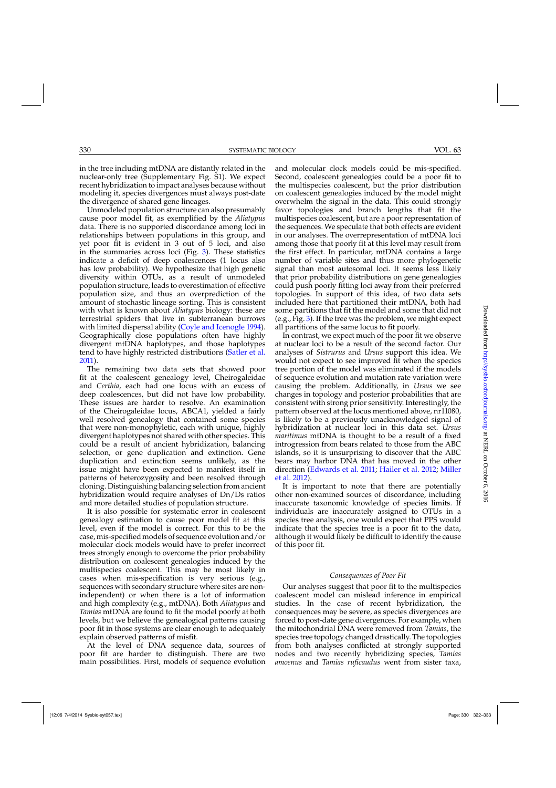in the tree including mtDNA are distantly related in the nuclear-only tree (Supplementary Fig. S1). We expect recent hybridization to impact analyses because without modeling it, species divergences must always post-date the divergence of shared gene lineages.

Unmodeled population structure can also presumably cause poor model fit, as exemplified by the *Aliatypus* data. There is no supported discordance among loci in relationships between populations in this group, and yet poor fit is evident in 3 out of 5 loci, and also in the summaries across loci (Fig. [3\)](#page-6-0). These statistics indicate a deficit of deep coalescences (1 locus also has low probability). We hypothesize that high genetic diversity within OTUs, as a result of unmodeled population structure, leads to overestimation of effective population size, and thus an overprediction of the amount of stochastic lineage sorting. This is consistent with what is known about *Aliatypus* biology: these are terrestrial spiders that live in subterranean burrows with limited dispersal ability [\(Coyle and Icenogle 1994](#page-10-0)). Geographically close populations often have highly divergent mtDNA haplotypes, and those haplotypes tend to have highly restricted distributions [\(Satler et al.](#page-11-0) [2011](#page-11-0)).

The remaining two data sets that showed poor fit at the coalescent genealogy level, Cheirogaleidae and *Certhia*, each had one locus with an excess of deep coalescences, but did not have low probability. These issues are harder to resolve. An examination of the Cheirogaleidae locus, ABCA1, yielded a fairly well resolved genealogy that contained some species that were non-monophyletic, each with unique, highly divergent haplotypes not shared with other species. This could be a result of ancient hybridization, balancing selection, or gene duplication and extinction. Gene duplication and extinction seems unlikely, as the issue might have been expected to manifest itself in patterns of heterozygosity and been resolved through cloning. Distinguishing balancing selection from ancient hybridization would require analyses of Dn/Ds ratios and more detailed studies of population structure.

It is also possible for systematic error in coalescent genealogy estimation to cause poor model fit at this level, even if the model is correct. For this to be the case, mis-specified models of sequence evolution and/or molecular clock models would have to prefer incorrect trees strongly enough to overcome the prior probability distribution on coalescent genealogies induced by the multispecies coalescent. This may be most likely in cases when mis-specification is very serious (e.g., sequences with secondary structure where sites are nonindependent) or when there is a lot of information and high complexity (e.g., mtDNA). Both *Aliatypus* and *Tamias* mtDNA are found to fit the model poorly at both levels, but we believe the genealogical patterns causing poor fit in those systems are clear enough to adequately explain observed patterns of misfit.

At the level of DNA sequence data, sources of poor fit are harder to distinguish. There are two main possibilities. First, models of sequence evolution

and molecular clock models could be mis-specified. Second, coalescent genealogies could be a poor fit to the multispecies coalescent, but the prior distribution on coalescent genealogies induced by the model might overwhelm the signal in the data. This could strongly favor topologies and branch lengths that fit the multispecies coalescent, but are a poor representation of the sequences. We speculate that both effects are evident in our analyses. The overrepresentation of mtDNA loci among those that poorly fit at this level may result from the first effect. In particular, mtDNA contains a large number of variable sites and thus more phylogenetic signal than most autosomal loci. It seems less likely that prior probability distributions on gene genealogies could push poorly fitting loci away from their preferred topologies. In support of this idea, of two data sets included here that partitioned their mtDNA, both had some partitions that fit the model and some that did not (e.g., Fig. [3\)](#page-6-0). If the tree was the problem, we might expect all partitions of the same locus to fit poorly.

In contrast, we expect much of the poor fit we observe at nuclear loci to be a result of the second factor. Our analyses of *Sistrurus* and *Ursus* support this idea. We would not expect to see improved fit when the species tree portion of the model was eliminated if the models of sequence evolution and mutation rate variation were causing the problem. Additionally, in *Ursus* we see changes in topology and posterior probabilities that are consistent with strong prior sensitivity. Interestingly, the pattern observed at the locus mentioned above, nr11080, is likely to be a previously unacknowledged signal of hybridization at nuclear loci in this data set. *Ursus maritimus* mtDNA is thought to be a result of a fixed introgression from bears related to those from the ABC islands, so it is unsurprising to discover that the ABC bears may harbor DNA that has moved in the other dire[ction \(Edwards et al. 2011;](#page-10-0) [Hailer et al. 2012](#page-10-0); Miller et al. [2012](#page-10-0)).

It is important to note that there are potentially other non-examined sources of discordance, including inaccurate taxonomic knowledge of species limits. If individuals are inaccurately assigned to OTUs in a species tree analysis, one would expect that PPS would indicate that the species tree is a poor fit to the data, although it would likely be difficult to identify the cause of this poor fit.

# *Consequences of Poor Fit*

Our analyses suggest that poor fit to the multispecies coalescent model can mislead inference in empirical studies. In the case of recent hybridization, the consequences may be severe, as species divergences are forced to post-date gene divergences. For example, when the mitochondrial DNA were removed from *Tamias*, the species tree topology changed drastically. The topologies from both analyses conflicted at strongly supported nodes and two recently hybridizing species, *Tamias amoenus* and *Tamias ruficaudus* went from sister taxa,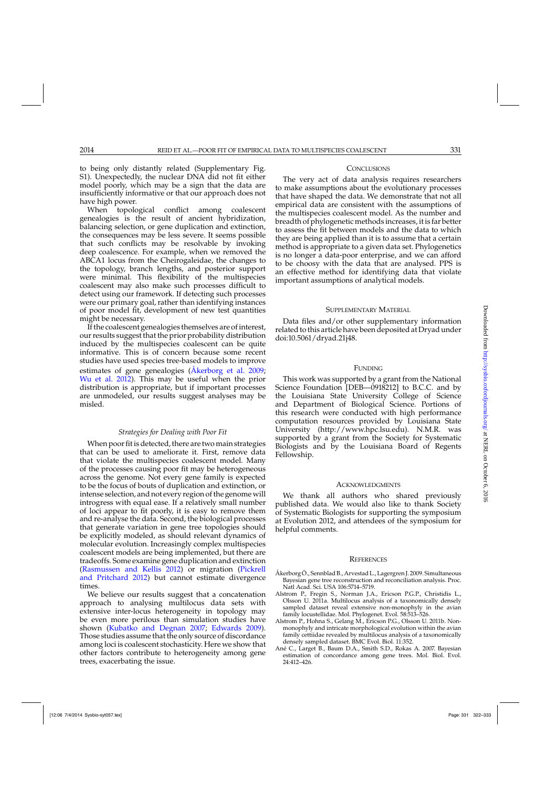<span id="page-9-0"></span>When topological conflict among coalescent genealogies is the result of ancient hybridization, balancing selection, or gene duplication and extinction, the consequences may be less severe. It seems possible that such conflicts may be resolvable by invoking deep coalescence. For example, when we removed the ABCA1 locus from the Cheirogaleidae, the changes to the topology, branch lengths, and posterior support were minimal. This flexibility of the multispecies coalescent may also make such processes difficult to detect using our framework. If detecting such processes were our primary goal, rather than identifying instances of poor model fit, development of new test quantities might be necessary.

If the coalescent genealogies themselves are of interest, our results suggest that the prior probability distribution induced by the multispecies coalescent can be quite informative. This is of concern because some recent studies have used species tree-based models to improve estimates of gene genealogies (Åkerborg et al. 2009; [Wu et al. 2012](#page-11-0)). This may be useful when the prior distribution is appropriate, but if important processes are unmodeled, our results suggest analyses may be misled.

#### *Strategies for Dealing with Poor Fit*

When poor fit is detected, there are two main strategies that can be used to ameliorate it. First, remove data that violate the multispecies coalescent model. Many of the processes causing poor fit may be heterogeneous across the genome. Not every gene family is expected to be the focus of bouts of duplication and extinction, or intense selection, and not every region of the genome will introgress with equal ease. If a relatively small number of loci appear to fit poorly, it is easy to remove them and re-analyse the data. Second, the biological processes that generate variation in gene tree topologies should be explicitly modeled, as should relevant dynamics of molecular evolution. Increasingly complex multispecies coalescent models are being implemented, but there are tradeoffs. Some examine gene duplication and extinction [\(Rasmussen and Kellis 2012\) or migration \(](#page-11-0)Pickrell and Pritchard [2012\)](#page-11-0) but cannot estimate divergence times.

We believe our results suggest that a concatenation approach to analysing multilocus data sets with extensive inter-locus heterogeneity in topology may be even more perilous than simulation studies have shown [\(Kubatko and Degnan 2007](#page-10-0); [Edwards 2009\)](#page-10-0). Those studies assume that the only source of discordance among loci is coalescent stochasticity. Here we show that other factors contribute to heterogeneity among gene trees, exacerbating the issue.

#### **CONCLUSIONS**

The very act of data analysis requires researchers to make assumptions about the evolutionary processes that have shaped the data. We demonstrate that not all empirical data are consistent with the assumptions of the multispecies coalescent model. As the number and breadth of phylogenetic methods increases, it is far better to assess the fit between models and the data to which they are being applied than it is to assume that a certain method is appropriate to a given data set. Phylogenetics is no longer a data-poor enterprise, and we can afford to be choosy with the data that are analysed. PPS is an effective method for identifying data that violate important assumptions of analytical models.

#### SUPPLEMENTARY MATERIAL

Data files and/or other supplementary information related to this article have been deposited at Dryad under doi:10.5061/dryad.21j48.

#### FUNDING

This work was supported by a grant from the National Science Foundation [DEB—0918212] to B.C.C. and by the Louisiana State University College of Science and Department of Biological Science. Portions of this research were conducted with high performance computation resources provided by Louisiana State University (http://www.hpc.lsu.edu). N.M.R. was supported by a grant from the Society for Systematic Biologists and by the Louisiana Board of Regents Fellowship.

#### ACKNOWLEDGMENTS

We thank all authors who shared previously published data. We would also like to thank Society of Systematic Biologists for supporting the symposium at Evolution 2012, and attendees of the symposium for helpful comments.

#### **REFERENCES**

- Åkerborg Ö., Sennblad B., Arvestad L., Lagergren J. 2009. Simultaneous Bayesian gene tree reconstruction and reconciliation analysis. Proc. Natl Acad. Sci. USA 106:5714–5719.
- Alstrom P., Fregin S., Norman J.A., Ericson P.G.P., Christidis L., Olsson U. 2011a. Multilocus analysis of a taxonomically densely sampled dataset reveal extensive non-monophyly in the avian family locustellidae. Mol. Phylogenet. Evol. 58:513–526.
- Alstrom P., Hohna S., Gelang M., Ericson P.G., Olsson U. 2011b. Nonmonophyly and intricate morphological evolution within the avian family cettiidae revealed by multilocus analysis of a taxonomically densely sampled dataset. BMC Evol. Biol. 11:352.
- Ané C., Larget B., Baum D.A., Smith S.D., Rokas A. 2007. Bayesian estimation of concordance among gene trees. Mol. Biol. Evol. 24:412–426.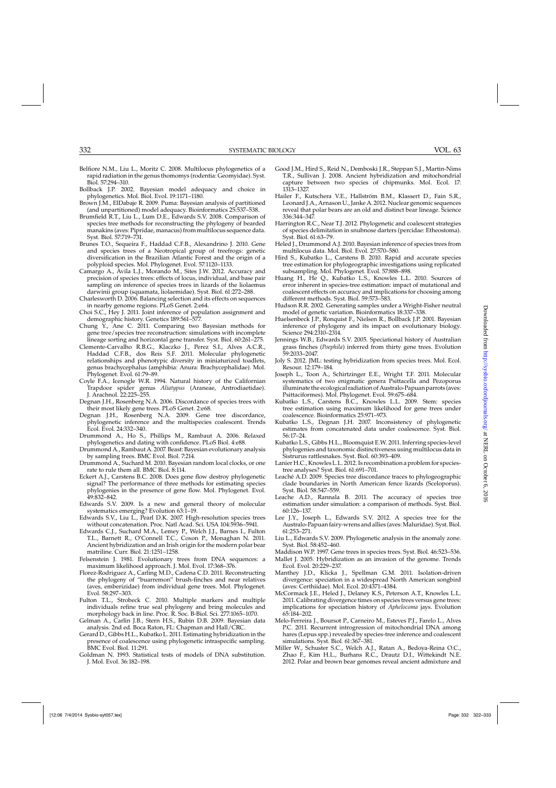- <span id="page-10-0"></span>Belfiore N.M., Liu L., Moritz C. 2008. Multilocus phylogenetics of a rapid radiation in the genus thomomys (rodentia: Geomyidae). Syst. Biol. 57:294–310.
- Bollback J.P. 2002. Bayesian model adequacy and choice in phylogenetics. Mol. Biol. Evol. 19:1171–1180.
- Brown J.M., ElDabaje R. 2009. Puma: Bayesian analysis of partitioned (and unpartitioned) model adequacy. Bioinformatics 25:537–538.
- Brumfield R.T., Liu L., Lum D.E., Edwards S.V. 2008. Comparison of species tree methods for reconstructing the phylogeny of bearded manakins (aves: Pipridae, manacus) from multilocus sequence data. Syst. Biol. 57:719–731.
- Brunes T.O., Sequeira F., Haddad C.F.B., Alexandrino J. 2010. Gene and species trees of a Neotropical group of treefrogs: genetic diversification in the Brazilian Atlantic Forest and the origin of a polyploid species. Mol. Phylogenet. Evol. 57:1120–1133.
- Camargo A., Avila L.J., Morando M., Sites J.W. 2012. Accuracy and precision of species trees: effects of locus, individual, and base pair sampling on inference of species trees in lizards of the liolaemus darwinii group (squamata, liolaemidae). Syst. Biol. 61:272–288.
- Charlesworth D. 2006. Balancing selection and its effects on sequences in nearby genome regions. PLoS Genet. 2:e64.
- Choi S.C., Hey J. 2011. Joint inference of population assignment and demographic history. Genetics 189:561–577.
- Chung Y., Ane C. 2011. Comparing two Bayesian methods for gene tree/species tree reconstruction: simulations with incomplete lineage sorting and horizontal gene transfer. Syst. Biol. 60:261–275.
- Clemente-Carvalho R.B.G., Klaczko J., Perez S.I., Alves A.C.R., Haddad C.F.B., dos Reis S.F. 2011. Molecular phylogenetic relationships and phenotypic diversity in miniaturized toadlets, genus brachycephalus (amphibia: Anura: Brachycephalidae). Mol. Phylogenet. Evol. 61:79–89.
- Coyle F.A., Icenogle W.R. 1994. Natural history of the Californian Trapdoor spider genus *Aliatypus* (Araneae, Antrodiaetidae). J. Arachnol. 22:225–255.
- Degnan J.H., Rosenberg N.A. 2006. Discordance of species trees with their most likely gene trees. PLoS Genet. 2:e68.
- Degnan J.H., Rosenberg N.A. 2009. Gene tree discordance, phylogenetic inference and the multispecies coalescent. Trends Ecol. Evol. 24:332–340.
- Drummond A., Ho S., Phillips M., Rambaut A. 2006. Relaxed phylogenetics and dating with confidence. PLoS Biol. 4:e88.
- Drummond A., Rambaut A. 2007. Beast: Bayesian evolutionary analysis by sampling trees. BMC Evol. Biol. 7:214.
- Drummond A., Suchard M. 2010. Bayesian random local clocks, or one rate to rule them all. BMC Biol. 8:114.
- Eckert A.J., Carstens B.C. 2008. Does gene flow destroy phylogenetic signal? The performance of three methods for estimating species phylogenies in the presence of gene flow. Mol. Phylogenet. Evol. 49:832–842.
- Edwards S.V. 2009. Is a new and general theory of molecular systematics emerging? Evolution 63:1–19.
- Edwards S.V., Liu L., Pearl D.K. 2007. High-resolution species trees without concatenation. Proc. Natl Acad. Sci. USA 104:5936–5941.
- Edwards C.J., Suchard M.A., Lemey P., Welch J.J., Barnes I., Fulton T.L., Barnett R., O'Connell T.C., Coxon P., Monaghan N. 2011. Ancient hybridization and an Irish origin for the modern polar bear matriline. Curr. Biol. 21:1251–1258.
- Felsenstein J. 1981. Evolutionary trees from DNA sequences: a maximum likelihood approach. J. Mol. Evol. 17:368–376.
- Florez-Rodriguez A., Carling M.D., Cadena C.D. 2011. Reconstructing the phylogeny of "buarremon" brush-finches and near relatives (aves, emberizidae) from individual gene trees. Mol. Phylogenet. Evol. 58:297–303.
- Fulton T.L., Strobeck C. 2010. Multiple markers and multiple individuals refine true seal phylogeny and bring molecules and morphology back in line. Proc. R. Soc. B-Biol. Sci. 277:1065–1070.
- Gelman A., Carlin J.B., Stern H.S., Rubin D.B. 2009. Bayesian data analysis. 2nd ed. Boca Raton, FL: Chapman and Hall/CRC.
- Gerard D., Gibbs H.L., Kubatko L. 2011. Estimating hybridization in the presence of coalescence using phylogenetic intraspecific sampling. BMC Evol. Biol. 11:291.
- Goldman N. 1993. Statistical tests of models of DNA substitution. J. Mol. Evol. 36:182–198.
- Good J.M., Hird S., Reid N., Demboski J.R., Steppan S.J., Martin-Nims T.R., Sullivan J. 2008. Ancient hybridization and mitochondrial capture between two species of chipmunks. Mol. Ecol. 17: 1313–1327.
- Hailer F., Kutschera V.E., Hallström B.M., Klassert D., Fain S.R., Leonard J.A., Arnason U., Janke A. 2012. Nuclear genomic sequences reveal that polar bears are an old and distinct bear lineage. Science 336:344–347.
- Harrington R.C., Near T.J. 2012. Phylogenetic and coalescent strategies of species delimitation in snubnose darters (percidae: Etheostoma). Syst. Biol. 61:63–79.
- Heled J., Drummond A.J. 2010. Bayesian inference of species trees from multilocus data. Mol. Biol. Evol. 27:570–580.
- Hird S., Kubatko L., Carstens B. 2010. Rapid and accurate species tree estimation for phylogeographic investigations using replicated subsampling. Mol. Phylogenet. Evol. 57:888–898.
- Huang H., He Q., Kubatko L.S., Knowles L.L. 2010. Sources of error inherent in species-tree estimation: impact of mutational and coalescent effects on accuracy and implications for choosing among different methods. Syst. Biol. 59:573–583.
- Hudson R.R. 2002. Generating samples under a Wright-Fisher neutral model of genetic variation. Bioinformatics 18:337–338.
- Huelsenbeck J.P., Ronquist F., Nielsen R., Bollback J.P. 2001. Bayesian inference of phylogeny and its impact on evolutionary biology. Science 294:2310–2314.
- Jennings W.B., Edwards S.V. 2005. Speciational history of Australian grass finches (*Poephila*) inferred from thirty gene trees. Evolution 59:2033–2047.
- Joly S. 2012. JML: testing hybridization from species trees. Mol. Ecol. Resour. 12:179–184.
- Joseph L., Toon A., Schirtzinger E.E., Wright T.F. 2011. Molecular systematics of two enigmatic genera Psittacella and Pezoporus illuminate the ecological radiation of Australo-Papuan parrots (aves: Psittaciformes). Mol. Phylogenet. Evol. 59:675–684.
- Kubatko L.S., Carstens B.C., Knowles L.L. 2009. Stem: species tree estimation using maximum likelihood for gene trees under coalescence. Bioinformatics 25:971–973.
- Kubatko L.S., Degnan J.H. 2007. Inconsistency of phylogenetic estimates from concatenated data under coalescence. Syst. Biol. 56:17–24.
- Kubatko L.S., Gibbs H.L., Bloomquist E.W. 2011. Inferring species-level phylogenies and taxonomic distinctiveness using multilocus data in Sistrurus rattlesnakes. Syst. Biol. 60:393–409.
- Lanier H.C., Knowles L.L. 2012. Is recombination a problem for speciestree analyses? Syst. Biol. 61:691–701.
- Leaché A.D. 2009. Species tree discordance traces to phylogeographic clade boundaries in North American fence lizards (Sceloporus). Syst. Biol. 58:547–559.
- Leache A.D., Rannala B. 2011. The accuracy of species tree estimation under simulation: a comparison of methods. Syst. Biol. 60:126–137.
- Lee J.Y., Joseph L., Edwards S.V. 2012. A species tree for the Australo-Papuan fairy-wrens and allies (aves: Maluridae). Syst. Biol. 61:253–271.
- Liu L., Edwards S.V. 2009. Phylogenetic analysis in the anomaly zone. Syst. Biol. 58:452–460.
- Maddison W.P. 1997. Gene trees in species trees. Syst. Biol. 46:523–536.
- Mallet J. 2005. Hybridization as an invasion of the genome. Trends Ecol. Evol. 20:229–237.
- Manthey J.D., Klicka J., Spellman G.M. 2011. Isolation-driven divergence: speciation in a widespread North American songbird (aves: Certhiidae). Mol. Ecol. 20:4371–4384.
- McCormack J.E., Heled J., Delaney K.S., Peterson A.T., Knowles L.L. 2011. Calibrating divergence times on species trees versus gene trees: implications for speciation history of *Aphelocoma* jays. Evolution 65:184–202.
- Melo-Ferreira J., Boursot P., Carneiro M., Esteves P.J., Farelo L., Alves P.C. 2011. Recurrent introgression of mitochondrial DNA among hares (Lepus spp.) revealed by species-tree inference and coalescent simulations. Syst. Biol. 61:367–381.
- Miller W., Schuster S.C., Welch A.J., Ratan A., Bedoya-Reina O.C., Zhao F., Kim H.L., Burhans R.C., Drautz D.I., Wittekindt N.E. 2012. Polar and brown bear genomes reveal ancient admixture and